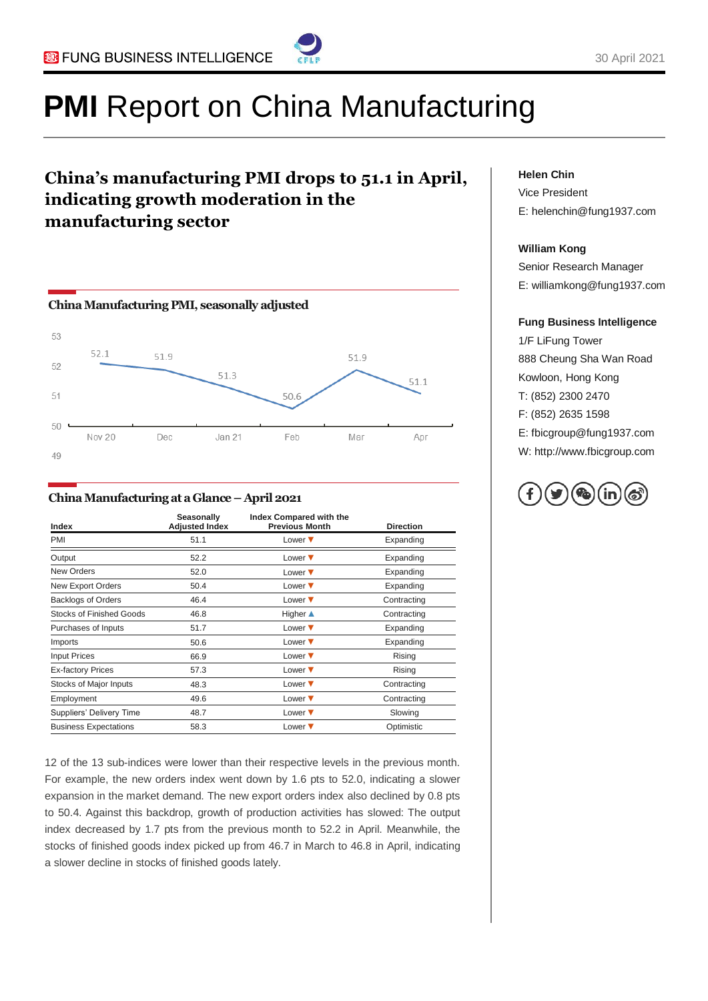

# **PMI** Report on China Manufacturing

### **China's manufacturing PMI drops to 51.1 in April, indicating growth moderation in the manufacturing sector**



#### **China Manufacturing at a Glance – April 2021**

| Index                           | <b>Seasonally</b><br><b>Adjusted Index</b> | Index Compared with the<br><b>Previous Month</b> | <b>Direction</b> |
|---------------------------------|--------------------------------------------|--------------------------------------------------|------------------|
| PMI                             | 51.1                                       | Lower $\blacktriangledown$                       | Expanding        |
| Output                          | 52.2                                       | Lower $\blacktriangledown$                       | Expanding        |
| <b>New Orders</b>               | 52.0                                       | Lower $\blacktriangledown$                       | Expanding        |
| New Export Orders               | 50.4                                       | Lower $\blacktriangledown$                       | Expanding        |
| <b>Backlogs of Orders</b>       | 46.4                                       | Lower $\blacktriangledown$                       | Contracting      |
| <b>Stocks of Finished Goods</b> | 46.8                                       | Higher $\triangle$                               | Contracting      |
| Purchases of Inputs             | 51.7                                       | Lower $\blacktriangledown$                       | Expanding        |
| Imports                         | 50.6                                       | Lower $\blacktriangledown$                       | Expanding        |
| <b>Input Prices</b>             | 66.9                                       | Lower $\blacktriangledown$                       | Rising           |
| <b>Ex-factory Prices</b>        | 57.3                                       | Lower $\blacktriangledown$                       | Rising           |
| Stocks of Major Inputs          | 48.3                                       | Lower $\blacktriangledown$                       | Contracting      |
| Employment                      | 49.6                                       | Lower $\blacktriangledown$                       | Contracting      |
| Suppliers' Delivery Time        | 48.7                                       | Lower $\blacktriangledown$                       | Slowing          |
| <b>Business Expectations</b>    | 58.3                                       | Lower $\blacktriangledown$                       | Optimistic       |

12 of the 13 sub-indices were lower than their respective levels in the previous month. For example, the new orders index went down by 1.6 pts to 52.0, indicating a slower expansion in the market demand. The new export orders index also declined by 0.8 pts to 50.4. Against this backdrop, growth of production activities has slowed: The output index decreased by 1.7 pts from the previous month to 52.2 in April. Meanwhile, the stocks of finished goods index picked up from 46.7 in March to 46.8 in April, indicating a slower decline in stocks of finished goods lately.

#### **Helen Chin**

Vice President E: helenchin@fung1937.com

#### **William Kong**

Senior Research Manager E: williamkong@fung1937.com

#### **Fung Business Intelligence**

1/F LiFung Tower 888 Cheung Sha Wan Road Kowloon, Hong Kong T: (852) 2300 2470 F: (852) 2635 1598 E: fbicgroup@fung1937.com W: http://www.fbicgroup.com

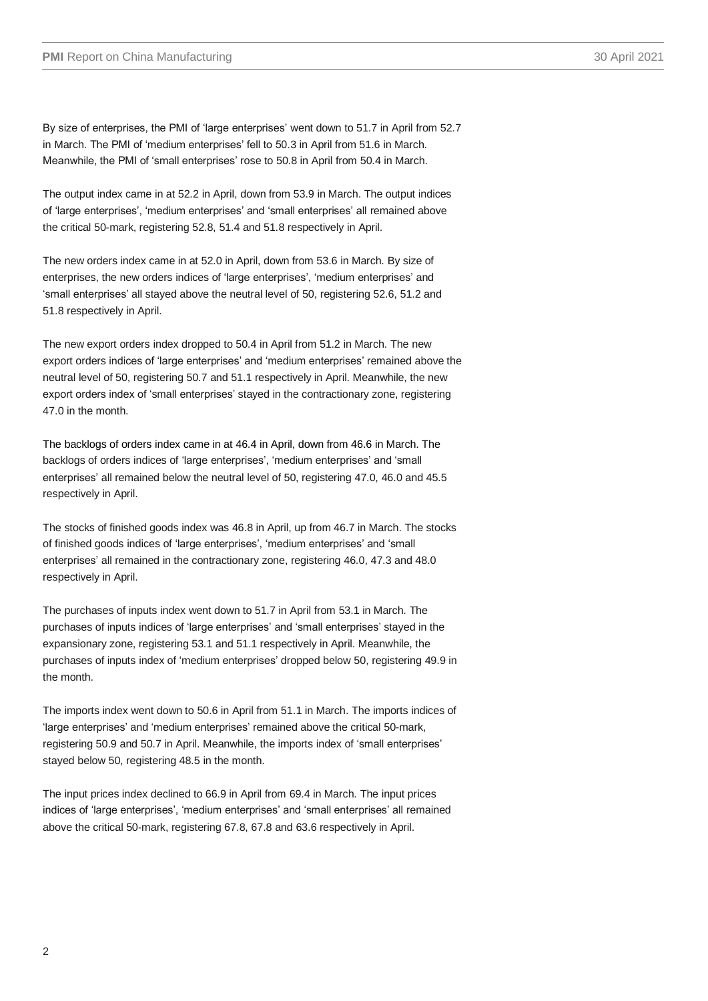By size of enterprises, the PMI of 'large enterprises' went down to 51.7 in April from 52.7 in March. The PMI of 'medium enterprises' fell to 50.3 in April from 51.6 in March. Meanwhile, the PMI of 'small enterprises' rose to 50.8 in April from 50.4 in March.

The output index came in at 52.2 in April, down from 53.9 in March. The output indices of 'large enterprises', 'medium enterprises' and 'small enterprises' all remained above the critical 50-mark, registering 52.8, 51.4 and 51.8 respectively in April.

The new orders index came in at 52.0 in April, down from 53.6 in March. By size of enterprises, the new orders indices of 'large enterprises', 'medium enterprises' and 'small enterprises' all stayed above the neutral level of 50, registering 52.6, 51.2 and 51.8 respectively in April.

The new export orders index dropped to 50.4 in April from 51.2 in March. The new export orders indices of 'large enterprises' and 'medium enterprises' remained above the neutral level of 50, registering 50.7 and 51.1 respectively in April. Meanwhile, the new export orders index of 'small enterprises' stayed in the contractionary zone, registering 47.0 in the month.

The backlogs of orders index came in at 46.4 in April, down from 46.6 in March. The backlogs of orders indices of 'large enterprises', 'medium enterprises' and 'small enterprises' all remained below the neutral level of 50, registering 47.0, 46.0 and 45.5 respectively in April.

The stocks of finished goods index was 46.8 in April, up from 46.7 in March. The stocks of finished goods indices of 'large enterprises', 'medium enterprises' and 'small enterprises' all remained in the contractionary zone, registering 46.0, 47.3 and 48.0 respectively in April.

The purchases of inputs index went down to 51.7 in April from 53.1 in March. The purchases of inputs indices of 'large enterprises' and 'small enterprises' stayed in the expansionary zone, registering 53.1 and 51.1 respectively in April. Meanwhile, the purchases of inputs index of 'medium enterprises' dropped below 50, registering 49.9 in the month.

The imports index went down to 50.6 in April from 51.1 in March. The imports indices of 'large enterprises' and 'medium enterprises' remained above the critical 50-mark, registering 50.9 and 50.7 in April. Meanwhile, the imports index of 'small enterprises' stayed below 50, registering 48.5 in the month.

The input prices index declined to 66.9 in April from 69.4 in March. The input prices indices of 'large enterprises', 'medium enterprises' and 'small enterprises' all remained above the critical 50-mark, registering 67.8, 67.8 and 63.6 respectively in April.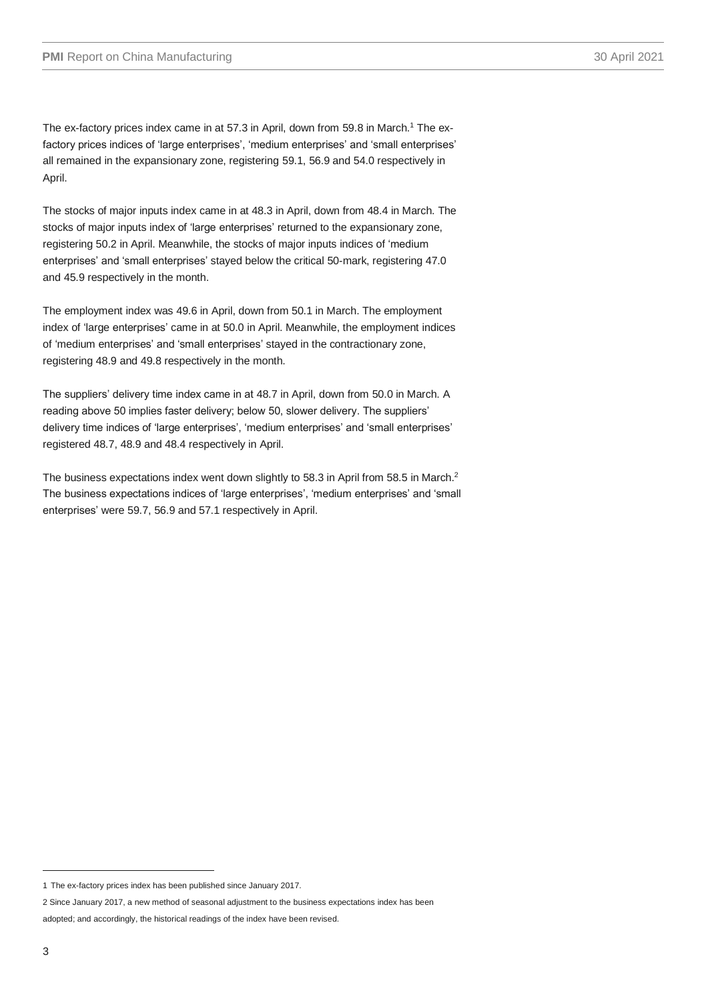The ex-factory prices index came in at 57.3 in April, down from 59.8 in March. <sup>1</sup> The exfactory prices indices of 'large enterprises', 'medium enterprises' and 'small enterprises' all remained in the expansionary zone, registering 59.1, 56.9 and 54.0 respectively in April.

The stocks of major inputs index came in at 48.3 in April, down from 48.4 in March. The stocks of major inputs index of 'large enterprises' returned to the expansionary zone, registering 50.2 in April. Meanwhile, the stocks of major inputs indices of 'medium enterprises' and 'small enterprises' stayed below the critical 50-mark, registering 47.0 and 45.9 respectively in the month.

The employment index was 49.6 in April, down from 50.1 in March. The employment index of 'large enterprises' came in at 50.0 in April. Meanwhile, the employment indices of 'medium enterprises' and 'small enterprises' stayed in the contractionary zone, registering 48.9 and 49.8 respectively in the month.

The suppliers' delivery time index came in at 48.7 in April, down from 50.0 in March. A reading above 50 implies faster delivery; below 50, slower delivery. The suppliers' delivery time indices of 'large enterprises', 'medium enterprises' and 'small enterprises' registered 48.7, 48.9 and 48.4 respectively in April.

The business expectations index went down slightly to 58.3 in April from 58.5 in March.<sup>2</sup> The business expectations indices of 'large enterprises', 'medium enterprises' and 'small enterprises' were 59.7, 56.9 and 57.1 respectively in April.

<sup>1</sup> The ex-factory prices index has been published since January 2017.

<sup>2</sup> Since January 2017, a new method of seasonal adjustment to the business expectations index has been

adopted; and accordingly, the historical readings of the index have been revised.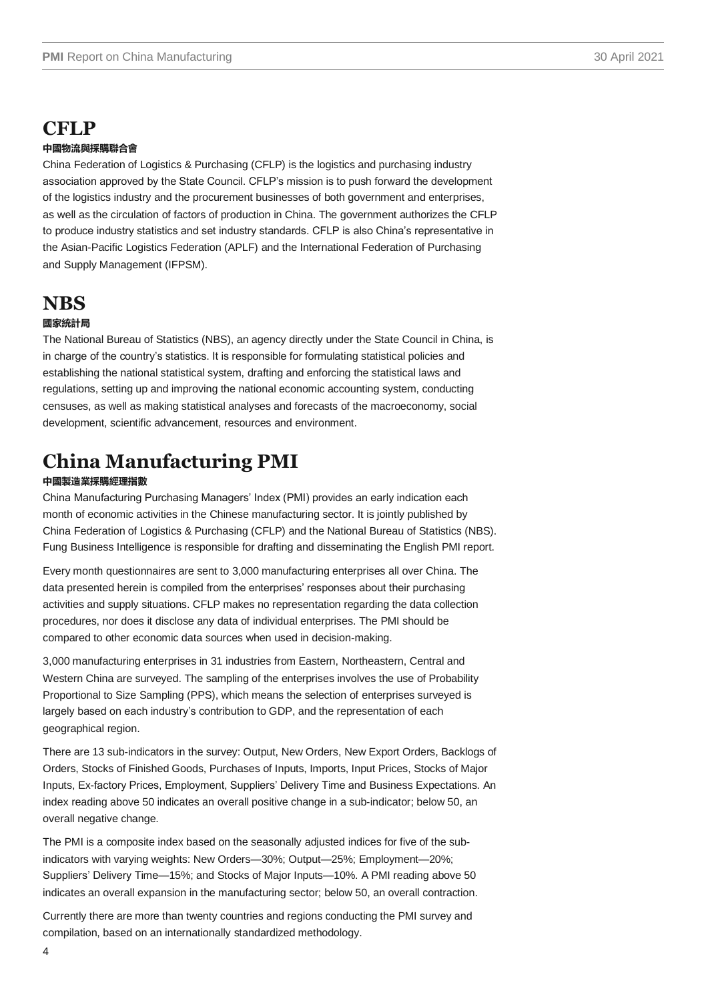## **CFLP**

#### **中國物流與採購聯合會**

China Federation of Logistics & Purchasing (CFLP) is the logistics and purchasing industry association approved by the State Council. CFLP's mission is to push forward the development of the logistics industry and the procurement businesses of both government and enterprises, as well as the circulation of factors of production in China. The government authorizes the CFLP to produce industry statistics and set industry standards. CFLP is also China's representative in the Asian-Pacific Logistics Federation (APLF) and the International Federation of Purchasing and Supply Management (IFPSM).

### **NBS**

#### **國家統計局**

The National Bureau of Statistics (NBS), an agency directly under the State Council in China, is in charge of the country's statistics. It is responsible for formulating statistical policies and establishing the national statistical system, drafting and enforcing the statistical laws and regulations, setting up and improving the national economic accounting system, conducting censuses, as well as making statistical analyses and forecasts of the macroeconomy, social development, scientific advancement, resources and environment.

## **China Manufacturing PMI**

#### **中國製造業採購經理指數**

China Manufacturing Purchasing Managers' Index (PMI) provides an early indication each month of economic activities in the Chinese manufacturing sector. It is jointly published by China Federation of Logistics & Purchasing (CFLP) and the National Bureau of Statistics (NBS). Fung Business Intelligence is responsible for drafting and disseminating the English PMI report.

Every month questionnaires are sent to 3,000 manufacturing enterprises all over China. The data presented herein is compiled from the enterprises' responses about their purchasing activities and supply situations. CFLP makes no representation regarding the data collection procedures, nor does it disclose any data of individual enterprises. The PMI should be compared to other economic data sources when used in decision-making.

3,000 manufacturing enterprises in 31 industries from Eastern, Northeastern, Central and Western China are surveyed. The sampling of the enterprises involves the use of Probability Proportional to Size Sampling (PPS), which means the selection of enterprises surveyed is largely based on each industry's contribution to GDP, and the representation of each geographical region.

There are 13 sub-indicators in the survey: Output, New Orders, New Export Orders, Backlogs of Orders, Stocks of Finished Goods, Purchases of Inputs, Imports, Input Prices, Stocks of Major Inputs, Ex-factory Prices, Employment, Suppliers' Delivery Time and Business Expectations. An index reading above 50 indicates an overall positive change in a sub-indicator; below 50, an overall negative change.

The PMI is a composite index based on the seasonally adjusted indices for five of the subindicators with varying weights: New Orders—30%; Output—25%; Employment—20%; Suppliers' Delivery Time—15%; and Stocks of Major Inputs—10%. A PMI reading above 50 indicates an overall expansion in the manufacturing sector; below 50, an overall contraction.

Currently there are more than twenty countries and regions conducting the PMI survey and compilation, based on an internationally standardized methodology.